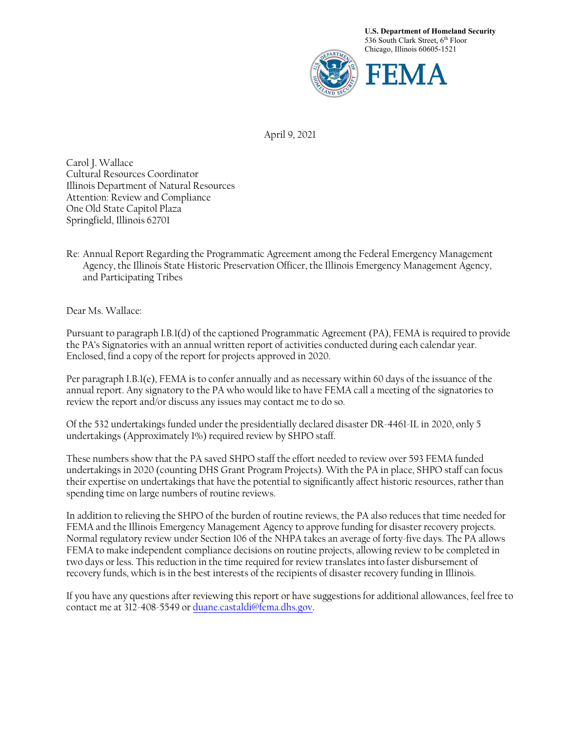

April 9, 2021

Carol J. Wallace Cultural Resources Coordinator Illinois Department of Natural Resources Attention: Review and Compliance One Old State Capitol Plaza Springfield, Illinois 62701

Re: Annual Report Regarding the Programmatic Agreement among the Federal Emergency Management Agency, the Illinois State Historic Preservation Officer, the Illinois Emergency Management Agency, and Participating Tribes

Dear Ms. Wallace:

Pursuant to paragraph I.B.1(d) of the captioned Programmatic Agreement (PA), FEMA is required to provide the PA's Signatories with an annual written report of activities conducted during each calendar year. Enclosed, find a copy of the report for projects approved in 2020.

Per paragraph I.B.1(e), FEMA is to confer annually and as necessary within 60 days of the issuance of the annual report. Any signatory to the PA who would like to have FEMA call a meeting of the signatories to review the report and/or discuss any issues may contact me to do so.

Of the 532 undertakings funded under the presidentially declared disaster DR-4461-IL in 2020, only 5 undertakings (Approximately 1%) required review by SHPO staff.

These numbers show that the PA saved SHPO staff the effort needed to review over 593 FEMA funded undertakings in 2020 (counting DHS Grant Program Projects). With the PA in place, SHPO staff can focus their expertise on undertakings that have the potential to significantly affect historic resources, rather than spending time on large numbers of routine reviews.

In addition to relieving the SHPO of the burden of routine reviews, the PA also reduces that time needed for FEMA and the Illinois Emergency Management Agency to approve funding for disaster recovery projects. Normal regulatory review under Section 106 of the NHPA takes an average of forty-five days. The PA allows FEMA to make independent compliance decisions on routine projects, allowing review to be completed in two days or less. This reduction in the time required for review translates into faster disbursement of recovery funds, which is in the best interests of the recipients of disaster recovery funding in Illinois.

If you have any questions after reviewing this report or have suggestions for additional allowances, feel free to contact me at 312-408-5549 or duane.castaldi@fema.dhs.gov.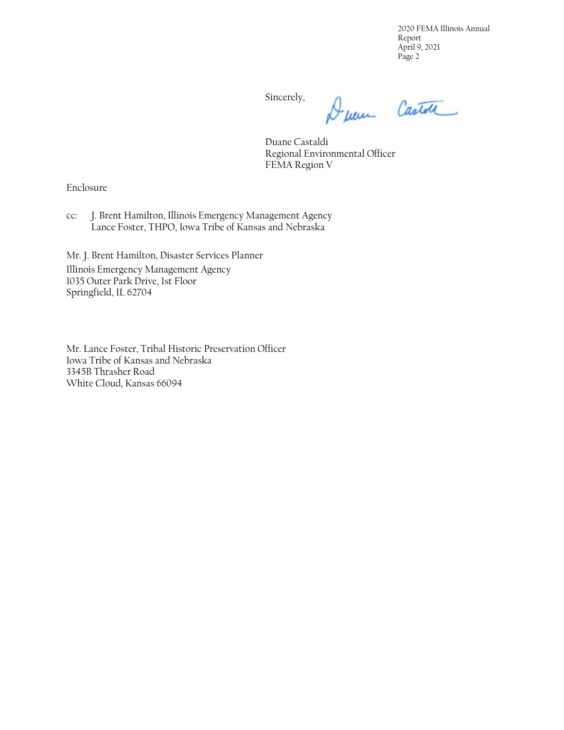2020 FEMA Illinois Annual Report April 9, 2021 Page 2

Sincerely,

Duen Castol

Duane Castaldi Regional Environmental Officer FEMA Region V

Enclosure

cc: J. Brent Hamilton, Illinois Emergency Management Agency Lance Foster, THPO, Iowa Tribe of Kansas and Nebraska

Mr. J. Brent Hamilton, Disaster Services Planner

Illinois Emergency Management Agency 1035 Outer Park Drive, 1st Floor Springfield, IL 62704

Mr. Lance Foster, Tribal Historic Preservation Officer Iowa Tribe of Kansas and Nebraska 3345B Thrasher Road White Cloud, Kansas 66094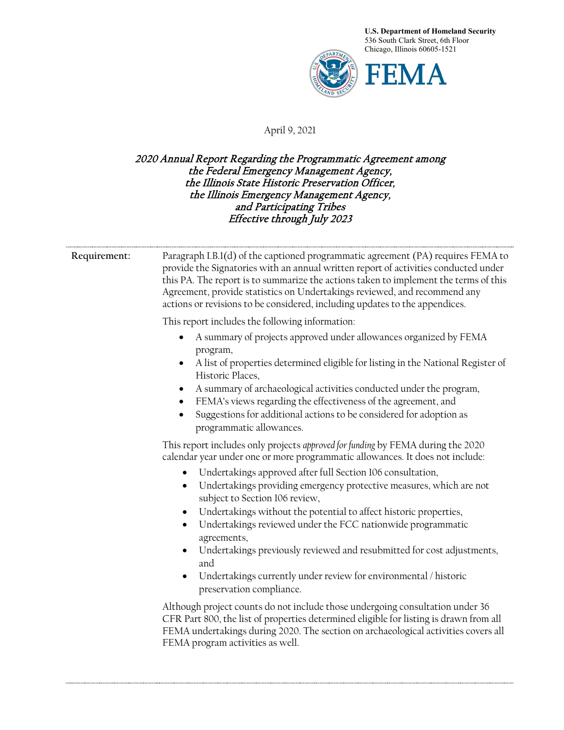

## April 9, 2021

## 2020 Annual Report Regarding the Programmatic Agreement among the Federal Emergency Management Agency, the Illinois State Historic Preservation Officer, the Illinois Emergency Management Agency, and Participating Tribes Effective through July 2023

| Requirement: | Paragraph I.B.1(d) of the captioned programmatic agreement (PA) requires FEMA to<br>provide the Signatories with an annual written report of activities conducted under<br>this PA. The report is to summarize the actions taken to implement the terms of this<br>Agreement, provide statistics on Undertakings reviewed, and recommend any<br>actions or revisions to be considered, including updates to the appendices.     |
|--------------|---------------------------------------------------------------------------------------------------------------------------------------------------------------------------------------------------------------------------------------------------------------------------------------------------------------------------------------------------------------------------------------------------------------------------------|
|              | This report includes the following information:                                                                                                                                                                                                                                                                                                                                                                                 |
|              | A summary of projects approved under allowances organized by FEMA<br>$\bullet$<br>program,<br>A list of properties determined eligible for listing in the National Register of<br>Historic Places,<br>A summary of archaeological activities conducted under the program,<br>FEMA's views regarding the effectiveness of the agreement, and<br>$\bullet$<br>Suggestions for additional actions to be considered for adoption as |
|              | programmatic allowances.                                                                                                                                                                                                                                                                                                                                                                                                        |
|              | This report includes only projects approved for funding by FEMA during the 2020<br>calendar year under one or more programmatic allowances. It does not include:                                                                                                                                                                                                                                                                |
|              | Undertakings approved after full Section 106 consultation,<br>$\bullet$<br>Undertakings providing emergency protective measures, which are not<br>$\bullet$<br>subject to Section 106 review,                                                                                                                                                                                                                                   |
|              | Undertakings without the potential to affect historic properties,<br>Undertakings reviewed under the FCC nationwide programmatic<br>$\bullet$<br>agreements,                                                                                                                                                                                                                                                                    |
|              | Undertakings previously reviewed and resubmitted for cost adjustments,<br>and<br>Undertakings currently under review for environmental / historic                                                                                                                                                                                                                                                                               |
|              | preservation compliance.                                                                                                                                                                                                                                                                                                                                                                                                        |
|              | Although project counts do not include those undergoing consultation under 36<br>CFR Part 800, the list of properties determined eligible for listing is drawn from all<br>FEMA undertakings during 2020. The section on archaeological activities covers all<br>FEMA program activities as well.                                                                                                                               |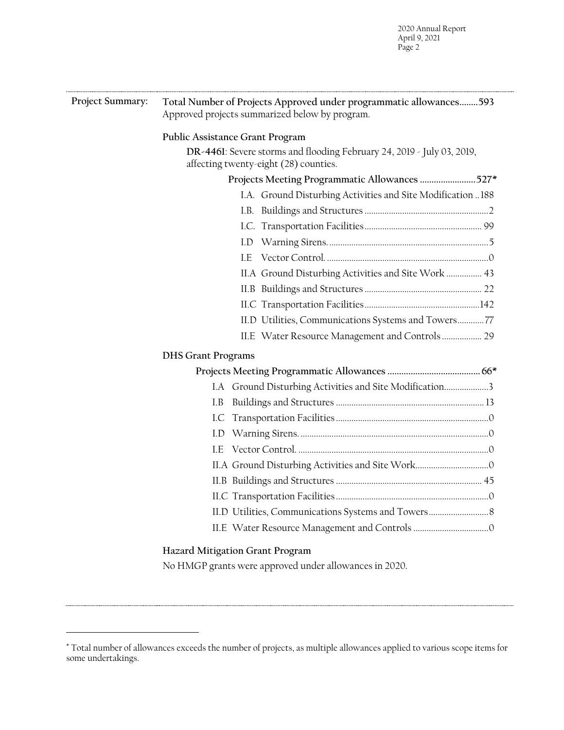| Project Summary: | Total Number of Projects Approved under programmatic allowances 593<br>Approved projects summarized below by program. |  |
|------------------|-----------------------------------------------------------------------------------------------------------------------|--|
|                  | Public Assistance Grant Program                                                                                       |  |
|                  | DR-4461: Severe storms and flooding February 24, 2019 - July 03, 2019,<br>affecting twenty-eight (28) counties.       |  |
|                  | Projects Meeting Programmatic Allowances 527*                                                                         |  |
|                  | I.A. Ground Disturbing Activities and Site Modification  188                                                          |  |
|                  |                                                                                                                       |  |
|                  |                                                                                                                       |  |
|                  |                                                                                                                       |  |
|                  | LE.                                                                                                                   |  |
|                  | II.A Ground Disturbing Activities and Site Work  43                                                                   |  |
|                  |                                                                                                                       |  |
|                  |                                                                                                                       |  |
|                  | II.D Utilities, Communications Systems and Towers77                                                                   |  |
|                  | II.E Water Resource Management and Controls  29                                                                       |  |
|                  | <b>DHS Grant Programs</b>                                                                                             |  |
|                  |                                                                                                                       |  |
|                  | I.A Ground Disturbing Activities and Site Modification3                                                               |  |
|                  | I.B                                                                                                                   |  |
|                  | I.C                                                                                                                   |  |
|                  |                                                                                                                       |  |
|                  | LE.                                                                                                                   |  |
|                  |                                                                                                                       |  |
|                  |                                                                                                                       |  |
|                  |                                                                                                                       |  |
|                  |                                                                                                                       |  |
|                  |                                                                                                                       |  |
|                  | Hazard Mitigation Grant Program                                                                                       |  |

No HMGP grants were approved under allowances in 2020.

<span id="page-3-0"></span><sup>\*</sup> Total number of allowances exceeds the number of projects, as multiple allowances applied to various scope items for some undertakings.